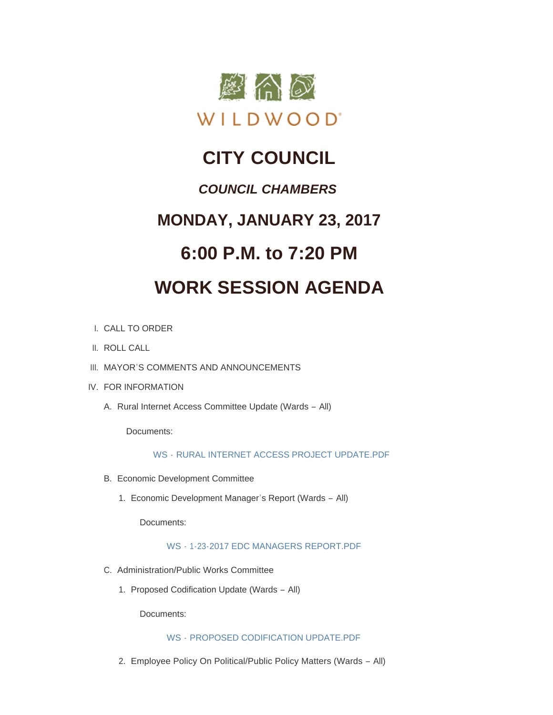

## **CITY COUNCIL**

### *COUNCIL CHAMBERS*

### **MONDAY, JANUARY 23, 2017**

### **6:00 P.M. to 7:20 PM**

# **WORK SESSION AGENDA**

- CALL TO ORDER I.
- II. ROLL CALL
- III. MAYOR'S COMMENTS AND ANNOUNCEMENTS
- IV. FOR INFORMATION
	- A. Rural Internet Access Committee Update (Wards All)

Documents:

WS - [RURAL INTERNET ACCESS PROJECT UPDATE.PDF](http://mo-wildwood.civicplus.com/AgendaCenter/ViewFile/Item/9521?fileID=13877)

- Economic Development Committee B.
	- 1. Economic Development Manager's Report (Wards All)

Documents:

WS - [1-23-2017 EDC MANAGERS REPORT.PDF](http://mo-wildwood.civicplus.com/AgendaCenter/ViewFile/Item/9523?fileID=13878)

- C. Administration/Public Works Committee
	- 1. Proposed Codification Update (Wards All)

Documents:

#### WS - [PROPOSED CODIFICATION UPDATE.PDF](http://mo-wildwood.civicplus.com/AgendaCenter/ViewFile/Item/9525?fileID=13879)

Employee Policy On Political/Public Policy Matters (Wards – All) 2.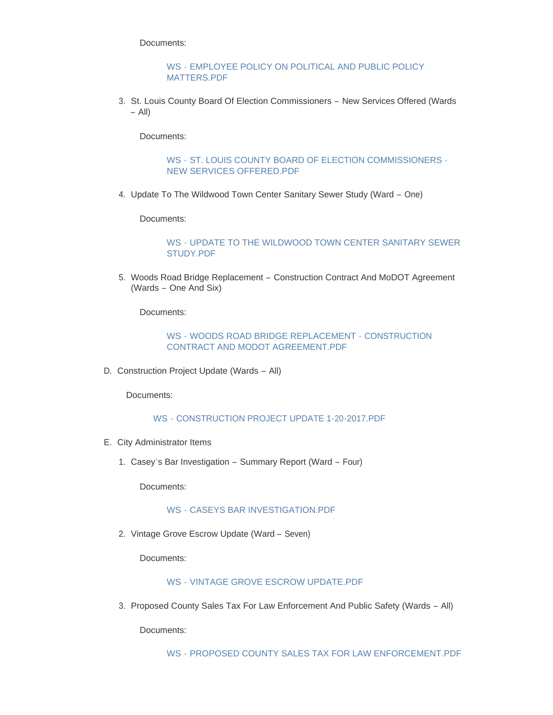Documents:

#### WS - [EMPLOYEE POLICY ON POLITICAL AND PUBLIC POLICY](http://mo-wildwood.civicplus.com/AgendaCenter/ViewFile/Item/9526?fileID=13880)  MATTERS.PDF

3. St. Louis County Board Of Election Commissioners - New Services Offered (Wards – All)

Documents:

#### WS - [ST. LOUIS COUNTY BOARD OF ELECTION COMMISSIONERS -](http://mo-wildwood.civicplus.com/AgendaCenter/ViewFile/Item/9527?fileID=13881) NEW SERVICES OFFERED.PDF

4. Update To The Wildwood Town Center Sanitary Sewer Study (Ward – One)

Documents:

#### WS - [UPDATE TO THE WILDWOOD TOWN CENTER SANITARY SEWER](http://mo-wildwood.civicplus.com/AgendaCenter/ViewFile/Item/9528?fileID=13882)  STUDY.PDF

5. Woods Road Bridge Replacement - Construction Contract And MoDOT Agreement (Wards – One And Six)

Documents:

#### WS - WOODS ROAD BRIDGE REPLACEMENT - CONSTRUCTION [CONTRACT AND MODOT AGREEMENT.PDF](http://mo-wildwood.civicplus.com/AgendaCenter/ViewFile/Item/9529?fileID=13883)

D. Construction Project Update (Wards - All)

Documents:

WS - [CONSTRUCTION PROJECT UPDATE 1-20-2017.PDF](http://mo-wildwood.civicplus.com/AgendaCenter/ViewFile/Item/9530?fileID=13884)

- E. City Administrator Items
	- Casey's Bar Investigation Summary Report (Ward Four) 1.

Documents:

#### WS - [CASEYS BAR INVESTIGATION.PDF](http://mo-wildwood.civicplus.com/AgendaCenter/ViewFile/Item/9532?fileID=13885)

2. Vintage Grove Escrow Update (Ward - Seven)

Documents:

#### WS - [VINTAGE GROVE ESCROW UPDATE.PDF](http://mo-wildwood.civicplus.com/AgendaCenter/ViewFile/Item/9533?fileID=13886)

3. Proposed County Sales Tax For Law Enforcement And Public Safety (Wards - All)

Documents:

WS - [PROPOSED COUNTY SALES TAX FOR LAW ENFORCEMENT.PDF](http://mo-wildwood.civicplus.com/AgendaCenter/ViewFile/Item/9534?fileID=13902)